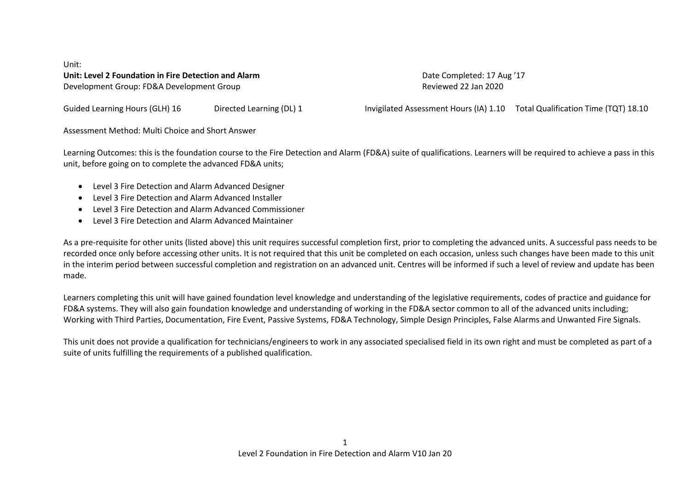Unit: **Unit: Level 2 Foundation in Fire Detection and Alarm** Date Completed: 17 Aug '17 Development Group: FD&A Development Group Reviewed 22 Jan 2020

Guided Learning Hours (GLH) 16 Directed Learning (DL) 1 **Invigilated Assessment Hours (IA) 1.10** Total Qualification Time (TQT) 18.10

Assessment Method: Multi Choice and Short Answer

Learning Outcomes: this is the foundation course to the Fire Detection and Alarm (FD&A) suite of qualifications. Learners will be required to achieve a pass in this unit, before going on to complete the advanced FD&A units;

- Level 3 Fire Detection and Alarm Advanced Designer
- Level 3 Fire Detection and Alarm Advanced Installer
- Level 3 Fire Detection and Alarm Advanced Commissioner
- Level 3 Fire Detection and Alarm Advanced Maintainer

As a pre-requisite for other units (listed above) this unit requires successful completion first, prior to completing the advanced units. A successful pass needs to be recorded once only before accessing other units. It is not required that this unit be completed on each occasion, unless such changes have been made to this unit in the interim period between successful completion and registration on an advanced unit. Centres will be informed if such a level of review and update has been made.

Learners completing this unit will have gained foundation level knowledge and understanding of the legislative requirements, codes of practice and guidance for FD&A systems. They will also gain foundation knowledge and understanding of working in the FD&A sector common to all of the advanced units including; Working with Third Parties, Documentation, Fire Event, Passive Systems, FD&A Technology, Simple Design Principles, False Alarms and Unwanted Fire Signals.

This unit does not provide a qualification for technicians/engineers to work in any associated specialised field in its own right and must be completed as part of a suite of units fulfilling the requirements of a published qualification.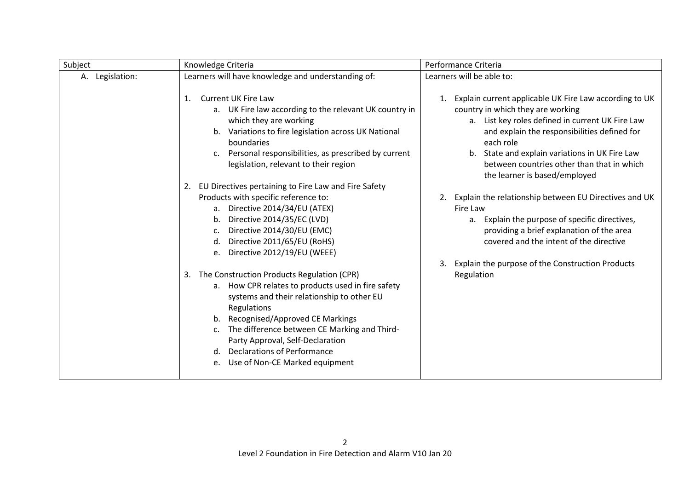| Subject         | Knowledge Criteria                                                                                                                                                                                                                                                                                                                                                                      | Performance Criteria                                                                                                                                                                                                                                                                                                                                |
|-----------------|-----------------------------------------------------------------------------------------------------------------------------------------------------------------------------------------------------------------------------------------------------------------------------------------------------------------------------------------------------------------------------------------|-----------------------------------------------------------------------------------------------------------------------------------------------------------------------------------------------------------------------------------------------------------------------------------------------------------------------------------------------------|
| A. Legislation: | Learners will have knowledge and understanding of:                                                                                                                                                                                                                                                                                                                                      | Learners will be able to:                                                                                                                                                                                                                                                                                                                           |
|                 | <b>Current UK Fire Law</b><br>$\mathbf{1}$ .<br>a. UK Fire law according to the relevant UK country in<br>which they are working<br>b. Variations to fire legislation across UK National<br>boundaries<br>Personal responsibilities, as prescribed by current<br>$C_{\star}$<br>legislation, relevant to their region                                                                   | 1. Explain current applicable UK Fire Law according to UK<br>country in which they are working<br>a. List key roles defined in current UK Fire Law<br>and explain the responsibilities defined for<br>each role<br>State and explain variations in UK Fire Law<br>b.<br>between countries other than that in which<br>the learner is based/employed |
|                 | 2. EU Directives pertaining to Fire Law and Fire Safety<br>Products with specific reference to:<br>a. Directive 2014/34/EU (ATEX)<br>Directive 2014/35/EC (LVD)<br>b.<br>Directive 2014/30/EU (EMC)<br>c.<br>Directive 2011/65/EU (RoHS)<br>d.<br>Directive 2012/19/EU (WEEE)<br>e.                                                                                                     | 2. Explain the relationship between EU Directives and UK<br>Fire Law<br>Explain the purpose of specific directives,<br>a.<br>providing a brief explanation of the area<br>covered and the intent of the directive<br>Explain the purpose of the Construction Products<br>3.                                                                         |
|                 | 3. The Construction Products Regulation (CPR)<br>a. How CPR relates to products used in fire safety<br>systems and their relationship to other EU<br>Regulations<br>Recognised/Approved CE Markings<br>b.<br>The difference between CE Marking and Third-<br>c.<br>Party Approval, Self-Declaration<br><b>Declarations of Performance</b><br>d.<br>Use of Non-CE Marked equipment<br>e. | Regulation                                                                                                                                                                                                                                                                                                                                          |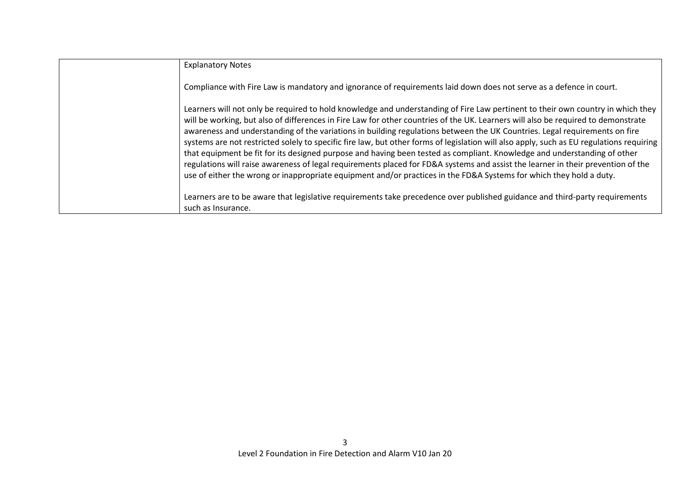| <b>Explanatory Notes</b>                                                                                                                                                                                                                                                                                                                                                                                                                                                                                                                                                                                                                                                                                                                                                                                                                                                                                                              |
|---------------------------------------------------------------------------------------------------------------------------------------------------------------------------------------------------------------------------------------------------------------------------------------------------------------------------------------------------------------------------------------------------------------------------------------------------------------------------------------------------------------------------------------------------------------------------------------------------------------------------------------------------------------------------------------------------------------------------------------------------------------------------------------------------------------------------------------------------------------------------------------------------------------------------------------|
| Compliance with Fire Law is mandatory and ignorance of requirements laid down does not serve as a defence in court.                                                                                                                                                                                                                                                                                                                                                                                                                                                                                                                                                                                                                                                                                                                                                                                                                   |
| Learners will not only be required to hold knowledge and understanding of Fire Law pertinent to their own country in which they<br>will be working, but also of differences in Fire Law for other countries of the UK. Learners will also be required to demonstrate<br>awareness and understanding of the variations in building regulations between the UK Countries. Legal requirements on fire<br>systems are not restricted solely to specific fire law, but other forms of legislation will also apply, such as EU regulations requiring<br>that equipment be fit for its designed purpose and having been tested as compliant. Knowledge and understanding of other<br>regulations will raise awareness of legal requirements placed for FD&A systems and assist the learner in their prevention of the<br>use of either the wrong or inappropriate equipment and/or practices in the FD&A Systems for which they hold a duty. |
| Learners are to be aware that legislative requirements take precedence over published guidance and third-party requirements<br>such as Insurance.                                                                                                                                                                                                                                                                                                                                                                                                                                                                                                                                                                                                                                                                                                                                                                                     |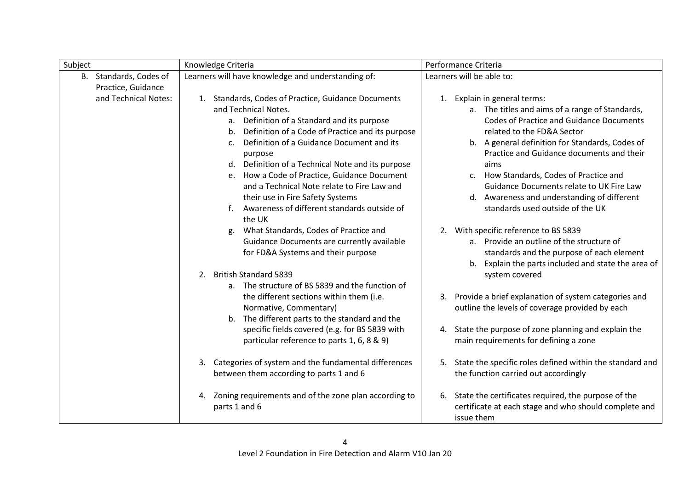| Subject                | Knowledge Criteria                                          | Performance Criteria                                        |
|------------------------|-------------------------------------------------------------|-------------------------------------------------------------|
| B. Standards, Codes of | Learners will have knowledge and understanding of:          | Learners will be able to:                                   |
| Practice, Guidance     |                                                             |                                                             |
| and Technical Notes:   | 1. Standards, Codes of Practice, Guidance Documents         | 1. Explain in general terms:                                |
|                        | and Technical Notes.                                        | a. The titles and aims of a range of Standards,             |
|                        | a. Definition of a Standard and its purpose                 | <b>Codes of Practice and Guidance Documents</b>             |
|                        | b. Definition of a Code of Practice and its purpose         | related to the FD&A Sector                                  |
|                        | Definition of a Guidance Document and its<br>$\mathsf{C}$ . | b. A general definition for Standards, Codes of             |
|                        | purpose                                                     | Practice and Guidance documents and their                   |
|                        | d. Definition of a Technical Note and its purpose           | aims                                                        |
|                        | e. How a Code of Practice, Guidance Document                | How Standards, Codes of Practice and<br>c.                  |
|                        | and a Technical Note relate to Fire Law and                 | Guidance Documents relate to UK Fire Law                    |
|                        | their use in Fire Safety Systems                            | Awareness and understanding of different<br>d.              |
|                        | Awareness of different standards outside of                 | standards used outside of the UK                            |
|                        | the UK                                                      |                                                             |
|                        | What Standards, Codes of Practice and<br>g.                 | 2. With specific reference to BS 5839                       |
|                        | Guidance Documents are currently available                  | a. Provide an outline of the structure of                   |
|                        | for FD&A Systems and their purpose                          | standards and the purpose of each element                   |
|                        |                                                             | Explain the parts included and state the area of<br>b.      |
|                        | <b>British Standard 5839</b><br>2.                          | system covered                                              |
|                        | a. The structure of BS 5839 and the function of             |                                                             |
|                        | the different sections within them (i.e.                    | 3. Provide a brief explanation of system categories and     |
|                        | Normative, Commentary)                                      | outline the levels of coverage provided by each             |
|                        | b. The different parts to the standard and the              |                                                             |
|                        | specific fields covered (e.g. for BS 5839 with              | 4. State the purpose of zone planning and explain the       |
|                        | particular reference to parts 1, 6, 8 & 9)                  | main requirements for defining a zone                       |
|                        |                                                             |                                                             |
|                        | 3. Categories of system and the fundamental differences     | 5. State the specific roles defined within the standard and |
|                        | between them according to parts 1 and 6                     | the function carried out accordingly                        |
|                        | Zoning requirements and of the zone plan according to<br>4. | 6. State the certificates required, the purpose of the      |
|                        | parts 1 and 6                                               | certificate at each stage and who should complete and       |
|                        |                                                             |                                                             |
|                        |                                                             | issue them                                                  |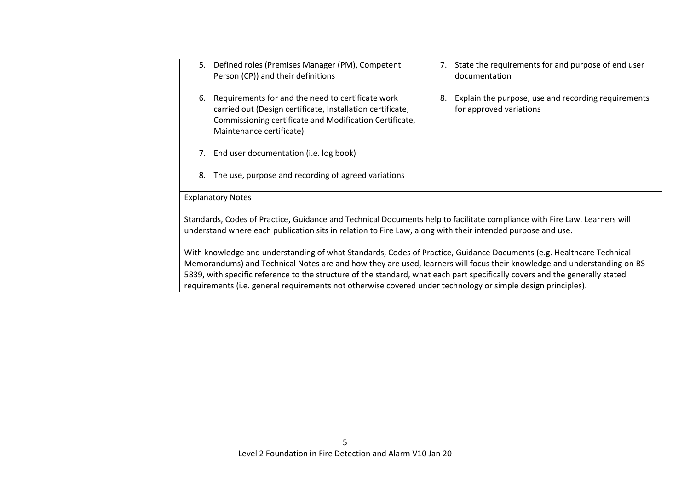| Defined roles (Premises Manager (PM), Competent<br>5.<br>Person (CP)) and their definitions                                                                                                                                             | State the requirements for and purpose of end user<br>documentation                  |
|-----------------------------------------------------------------------------------------------------------------------------------------------------------------------------------------------------------------------------------------|--------------------------------------------------------------------------------------|
| Requirements for and the need to certificate work<br>6.<br>carried out (Design certificate, Installation certificate,<br>Commissioning certificate and Modification Certificate,<br>Maintenance certificate)                            | Explain the purpose, use and recording requirements<br>8.<br>for approved variations |
| 7. End user documentation (i.e. log book)                                                                                                                                                                                               |                                                                                      |
| The use, purpose and recording of agreed variations<br>8.                                                                                                                                                                               |                                                                                      |
| <b>Explanatory Notes</b>                                                                                                                                                                                                                |                                                                                      |
| Standards, Codes of Practice, Guidance and Technical Documents help to facilitate compliance with Fire Law. Learners will<br>understand where each publication sits in relation to Fire Law, along with their intended purpose and use. |                                                                                      |
| With knowledge and understanding of what Standards, Codes of Practice, Guidance Documents (e.g. Healthcare Technical                                                                                                                    |                                                                                      |
| Memorandums) and Technical Notes are and how they are used, learners will focus their knowledge and understanding on BS                                                                                                                 |                                                                                      |
| 5839, with specific reference to the structure of the standard, what each part specifically covers and the generally stated                                                                                                             |                                                                                      |
| requirements (i.e. general requirements not otherwise covered under technology or simple design principles).                                                                                                                            |                                                                                      |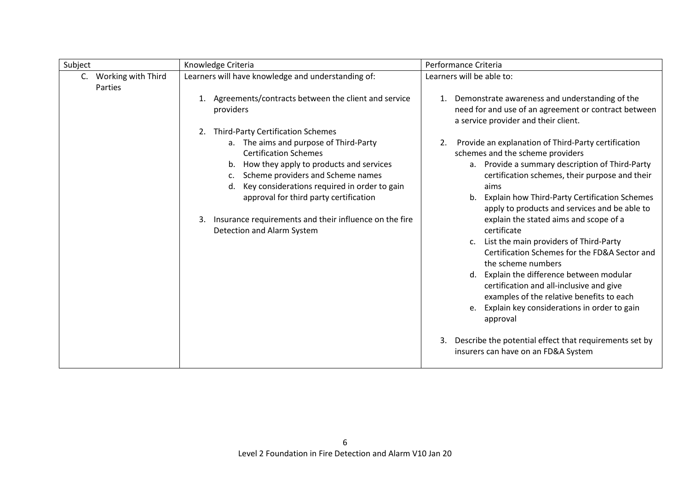| Subject                                      | Knowledge Criteria                                                                                                                                                                                                                                                                                                                                                                                                                                                                        | Performance Criteria                                                                                                                                                                                                                                                                                                                                                                                                                                                                                                                                                                                                                                                                                                                                                                                                                                     |
|----------------------------------------------|-------------------------------------------------------------------------------------------------------------------------------------------------------------------------------------------------------------------------------------------------------------------------------------------------------------------------------------------------------------------------------------------------------------------------------------------------------------------------------------------|----------------------------------------------------------------------------------------------------------------------------------------------------------------------------------------------------------------------------------------------------------------------------------------------------------------------------------------------------------------------------------------------------------------------------------------------------------------------------------------------------------------------------------------------------------------------------------------------------------------------------------------------------------------------------------------------------------------------------------------------------------------------------------------------------------------------------------------------------------|
| Working with Third<br>$C_{\cdot}$<br>Parties | Learners will have knowledge and understanding of:                                                                                                                                                                                                                                                                                                                                                                                                                                        | Learners will be able to:                                                                                                                                                                                                                                                                                                                                                                                                                                                                                                                                                                                                                                                                                                                                                                                                                                |
|                                              | Agreements/contracts between the client and service<br>1.<br>providers<br><b>Third-Party Certification Schemes</b><br>2.<br>a. The aims and purpose of Third-Party<br><b>Certification Schemes</b><br>b. How they apply to products and services<br>Scheme providers and Scheme names<br>c.<br>Key considerations required in order to gain<br>d.<br>approval for third party certification<br>Insurance requirements and their influence on the fire<br>3.<br>Detection and Alarm System | 1. Demonstrate awareness and understanding of the<br>need for and use of an agreement or contract between<br>a service provider and their client.<br>Provide an explanation of Third-Party certification<br>2.<br>schemes and the scheme providers<br>a. Provide a summary description of Third-Party<br>certification schemes, their purpose and their<br>aims<br>b. Explain how Third-Party Certification Schemes<br>apply to products and services and be able to<br>explain the stated aims and scope of a<br>certificate<br>List the main providers of Third-Party<br>$\mathsf{C}$ .<br>Certification Schemes for the FD&A Sector and<br>the scheme numbers<br>d. Explain the difference between modular<br>certification and all-inclusive and give<br>examples of the relative benefits to each<br>e. Explain key considerations in order to gain |
|                                              |                                                                                                                                                                                                                                                                                                                                                                                                                                                                                           | approval<br>Describe the potential effect that requirements set by<br>3.<br>insurers can have on an FD&A System                                                                                                                                                                                                                                                                                                                                                                                                                                                                                                                                                                                                                                                                                                                                          |
|                                              |                                                                                                                                                                                                                                                                                                                                                                                                                                                                                           |                                                                                                                                                                                                                                                                                                                                                                                                                                                                                                                                                                                                                                                                                                                                                                                                                                                          |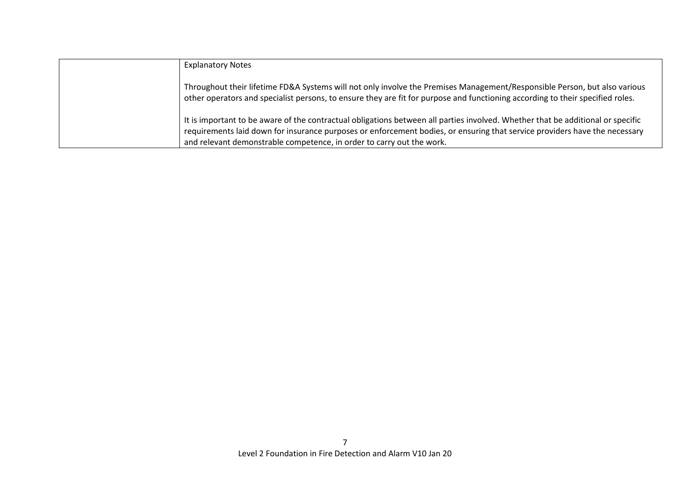| <b>Explanatory Notes</b>                                                                                                                                                                                                                                                                                                               |
|----------------------------------------------------------------------------------------------------------------------------------------------------------------------------------------------------------------------------------------------------------------------------------------------------------------------------------------|
| Throughout their lifetime FD&A Systems will not only involve the Premises Management/Responsible Person, but also various<br>other operators and specialist persons, to ensure they are fit for purpose and functioning according to their specified roles.                                                                            |
| It is important to be aware of the contractual obligations between all parties involved. Whether that be additional or specific<br>requirements laid down for insurance purposes or enforcement bodies, or ensuring that service providers have the necessary<br>and relevant demonstrable competence, in order to carry out the work. |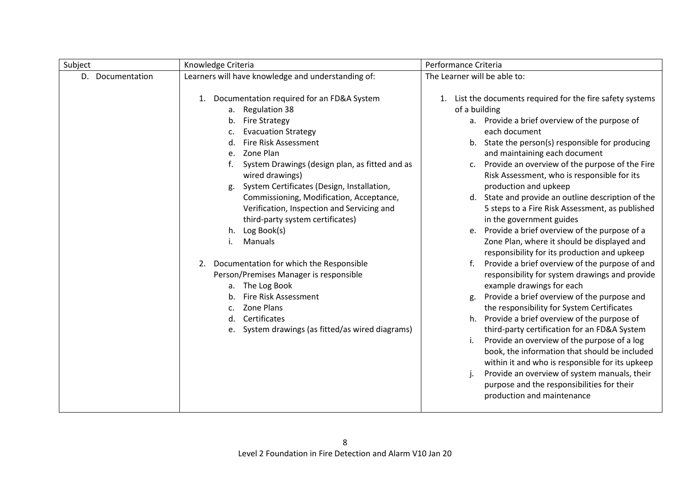| Subject             | Knowledge Criteria                                                                                                                                                                                                                                                                                                                                                                                                                                                                                                                                                                                                                                                                                                         | Performance Criteria                                                                                                                                                                                                                                                                                                                                                                                                                                                                                                                                                                                                                                                                                                                                                                                                                                                                                                                                                                                                                                                                                                                                                                                                                                                                               |
|---------------------|----------------------------------------------------------------------------------------------------------------------------------------------------------------------------------------------------------------------------------------------------------------------------------------------------------------------------------------------------------------------------------------------------------------------------------------------------------------------------------------------------------------------------------------------------------------------------------------------------------------------------------------------------------------------------------------------------------------------------|----------------------------------------------------------------------------------------------------------------------------------------------------------------------------------------------------------------------------------------------------------------------------------------------------------------------------------------------------------------------------------------------------------------------------------------------------------------------------------------------------------------------------------------------------------------------------------------------------------------------------------------------------------------------------------------------------------------------------------------------------------------------------------------------------------------------------------------------------------------------------------------------------------------------------------------------------------------------------------------------------------------------------------------------------------------------------------------------------------------------------------------------------------------------------------------------------------------------------------------------------------------------------------------------------|
| D.<br>Documentation | Learners will have knowledge and understanding of:                                                                                                                                                                                                                                                                                                                                                                                                                                                                                                                                                                                                                                                                         | The Learner will be able to:                                                                                                                                                                                                                                                                                                                                                                                                                                                                                                                                                                                                                                                                                                                                                                                                                                                                                                                                                                                                                                                                                                                                                                                                                                                                       |
|                     | Documentation required for an FD&A System<br>1.<br>a. Regulation 38<br><b>Fire Strategy</b><br>b.<br><b>Evacuation Strategy</b><br>c.<br>Fire Risk Assessment<br>Zone Plan<br>e.<br>System Drawings (design plan, as fitted and as<br>wired drawings)<br>System Certificates (Design, Installation,<br>g.<br>Commissioning, Modification, Acceptance,<br>Verification, Inspection and Servicing and<br>third-party system certificates)<br>Log Book(s)<br>h.<br>Manuals<br>Documentation for which the Responsible<br>2.<br>Person/Premises Manager is responsible<br>a. The Log Book<br>Fire Risk Assessment<br>b <sub>1</sub><br>Zone Plans<br>Certificates<br>d.<br>System drawings (as fitted/as wired diagrams)<br>e. | List the documents required for the fire safety systems<br>1.<br>of a building<br>a. Provide a brief overview of the purpose of<br>each document<br>State the person(s) responsible for producing<br>b.<br>and maintaining each document<br>Provide an overview of the purpose of the Fire<br>c.<br>Risk Assessment, who is responsible for its<br>production and upkeep<br>State and provide an outline description of the<br>d.<br>5 steps to a Fire Risk Assessment, as published<br>in the government guides<br>Provide a brief overview of the purpose of a<br>e.<br>Zone Plan, where it should be displayed and<br>responsibility for its production and upkeep<br>Provide a brief overview of the purpose of and<br>f.<br>responsibility for system drawings and provide<br>example drawings for each<br>Provide a brief overview of the purpose and<br>g.<br>the responsibility for System Certificates<br>Provide a brief overview of the purpose of<br>h.<br>third-party certification for an FD&A System<br>Provide an overview of the purpose of a log<br>book, the information that should be included<br>within it and who is responsible for its upkeep<br>Provide an overview of system manuals, their<br>purpose and the responsibilities for their<br>production and maintenance |
|                     |                                                                                                                                                                                                                                                                                                                                                                                                                                                                                                                                                                                                                                                                                                                            |                                                                                                                                                                                                                                                                                                                                                                                                                                                                                                                                                                                                                                                                                                                                                                                                                                                                                                                                                                                                                                                                                                                                                                                                                                                                                                    |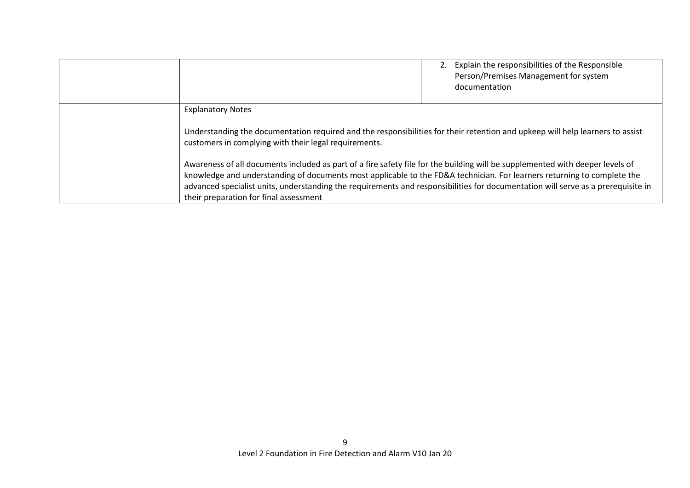|                                                                                                                                                                                                                                                                                                                                                                                                                                                                                                                                                                                                                                                              | 2. Explain the responsibilities of the Responsible<br>Person/Premises Management for system<br>documentation |
|--------------------------------------------------------------------------------------------------------------------------------------------------------------------------------------------------------------------------------------------------------------------------------------------------------------------------------------------------------------------------------------------------------------------------------------------------------------------------------------------------------------------------------------------------------------------------------------------------------------------------------------------------------------|--------------------------------------------------------------------------------------------------------------|
| <b>Explanatory Notes</b><br>Understanding the documentation required and the responsibilities for their retention and upkeep will help learners to assist<br>customers in complying with their legal requirements.<br>Awareness of all documents included as part of a fire safety file for the building will be supplemented with deeper levels of<br>knowledge and understanding of documents most applicable to the FD&A technician. For learners returning to complete the<br>advanced specialist units, understanding the requirements and responsibilities for documentation will serve as a prerequisite in<br>their preparation for final assessment |                                                                                                              |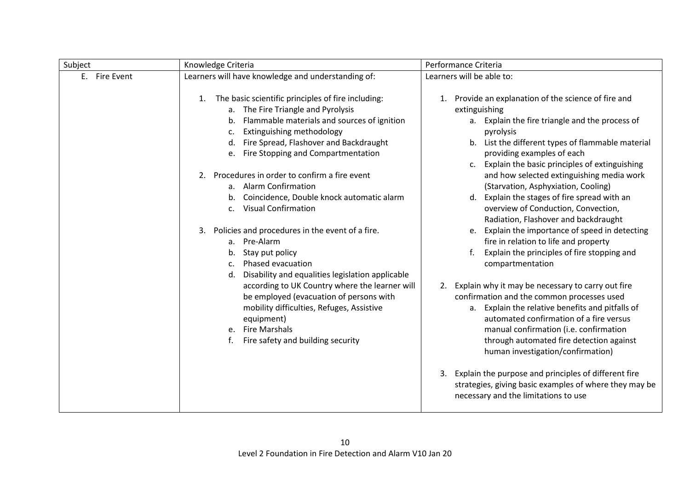| Subject       | Knowledge Criteria                                                                                                                                                                                                                                                                                                                                                                                                                                                                                                                                                                                           | Performance Criteria                                                                                                                                                                                                                                                                                                                                                                                                                                                                                                                                                                                                                                                          |
|---------------|--------------------------------------------------------------------------------------------------------------------------------------------------------------------------------------------------------------------------------------------------------------------------------------------------------------------------------------------------------------------------------------------------------------------------------------------------------------------------------------------------------------------------------------------------------------------------------------------------------------|-------------------------------------------------------------------------------------------------------------------------------------------------------------------------------------------------------------------------------------------------------------------------------------------------------------------------------------------------------------------------------------------------------------------------------------------------------------------------------------------------------------------------------------------------------------------------------------------------------------------------------------------------------------------------------|
| E. Fire Event | Learners will have knowledge and understanding of:                                                                                                                                                                                                                                                                                                                                                                                                                                                                                                                                                           | Learners will be able to:                                                                                                                                                                                                                                                                                                                                                                                                                                                                                                                                                                                                                                                     |
|               | The basic scientific principles of fire including:<br>1.<br>a. The Fire Triangle and Pyrolysis<br>b. Flammable materials and sources of ignition<br>Extinguishing methodology<br>c.<br>d. Fire Spread, Flashover and Backdraught<br>Fire Stopping and Compartmentation<br>e.<br>Procedures in order to confirm a fire event<br>$2_{\cdot}$<br>a. Alarm Confirmation<br>Coincidence, Double knock automatic alarm<br>b.<br><b>Visual Confirmation</b><br>$\mathsf{C}$ .<br>Policies and procedures in the event of a fire.<br>3.<br>a. Pre-Alarm<br>b. Stay put policy<br>Phased evacuation<br>C <sub>1</sub> | Provide an explanation of the science of fire and<br>1.<br>extinguishing<br>a. Explain the fire triangle and the process of<br>pyrolysis<br>List the different types of flammable material<br>b.<br>providing examples of each<br>Explain the basic principles of extinguishing<br>and how selected extinguishing media work<br>(Starvation, Asphyxiation, Cooling)<br>Explain the stages of fire spread with an<br>d.<br>overview of Conduction, Convection,<br>Radiation, Flashover and backdraught<br>Explain the importance of speed in detecting<br>e.<br>fire in relation to life and property<br>Explain the principles of fire stopping and<br>f.<br>compartmentation |
|               | Disability and equalities legislation applicable<br>d.<br>according to UK Country where the learner will<br>be employed (evacuation of persons with<br>mobility difficulties, Refuges, Assistive<br>equipment)<br>e. Fire Marshals<br>Fire safety and building security                                                                                                                                                                                                                                                                                                                                      | 2. Explain why it may be necessary to carry out fire<br>confirmation and the common processes used<br>a. Explain the relative benefits and pitfalls of<br>automated confirmation of a fire versus<br>manual confirmation (i.e. confirmation<br>through automated fire detection against<br>human investigation/confirmation)<br>Explain the purpose and principles of different fire<br>3.<br>strategies, giving basic examples of where they may be<br>necessary and the limitations to use                                                                                                                                                                                  |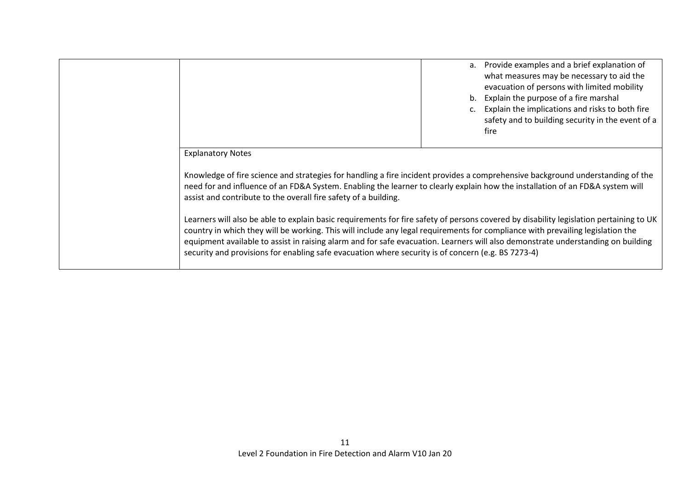|                                                                                                                                                                                                                                                                                                                                                                                                                                                                                                                    |  | a. Provide examples and a brief explanation of<br>what measures may be necessary to aid the<br>evacuation of persons with limited mobility<br>b. Explain the purpose of a fire marshal<br>c. Explain the implications and risks to both fire<br>safety and to building security in the event of a<br>fire |
|--------------------------------------------------------------------------------------------------------------------------------------------------------------------------------------------------------------------------------------------------------------------------------------------------------------------------------------------------------------------------------------------------------------------------------------------------------------------------------------------------------------------|--|-----------------------------------------------------------------------------------------------------------------------------------------------------------------------------------------------------------------------------------------------------------------------------------------------------------|
| <b>Explanatory Notes</b>                                                                                                                                                                                                                                                                                                                                                                                                                                                                                           |  |                                                                                                                                                                                                                                                                                                           |
| Knowledge of fire science and strategies for handling a fire incident provides a comprehensive background understanding of the<br>need for and influence of an FD&A System. Enabling the learner to clearly explain how the installation of an FD&A system will<br>assist and contribute to the overall fire safety of a building.                                                                                                                                                                                 |  |                                                                                                                                                                                                                                                                                                           |
| Learners will also be able to explain basic requirements for fire safety of persons covered by disability legislation pertaining to UK<br>country in which they will be working. This will include any legal requirements for compliance with prevailing legislation the<br>equipment available to assist in raising alarm and for safe evacuation. Learners will also demonstrate understanding on building<br>security and provisions for enabling safe evacuation where security is of concern (e.g. BS 7273-4) |  |                                                                                                                                                                                                                                                                                                           |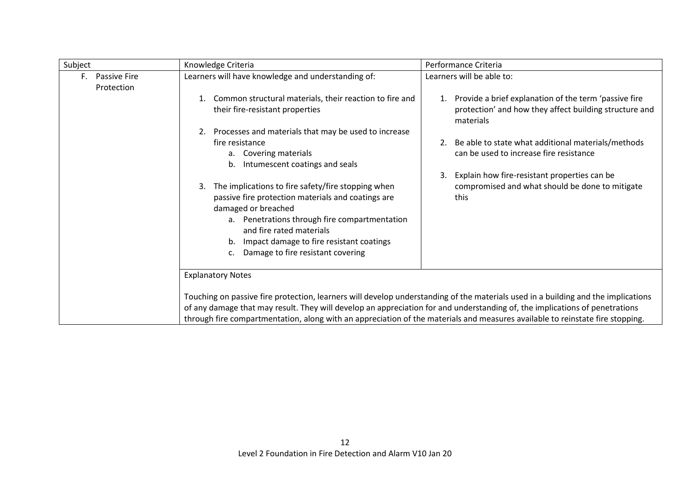| Subject                                 | Knowledge Criteria                                                                                                                                                                                                                                                                                                                                                                                                                                          | Performance Criteria                                                                                                                                                                                           |  |
|-----------------------------------------|-------------------------------------------------------------------------------------------------------------------------------------------------------------------------------------------------------------------------------------------------------------------------------------------------------------------------------------------------------------------------------------------------------------------------------------------------------------|----------------------------------------------------------------------------------------------------------------------------------------------------------------------------------------------------------------|--|
| <b>Passive Fire</b><br>F.<br>Protection | Learners will have knowledge and understanding of:                                                                                                                                                                                                                                                                                                                                                                                                          | Learners will be able to:                                                                                                                                                                                      |  |
|                                         | Common structural materials, their reaction to fire and<br>their fire-resistant properties                                                                                                                                                                                                                                                                                                                                                                  | 1. Provide a brief explanation of the term 'passive fire<br>protection' and how they affect building structure and<br>materials                                                                                |  |
|                                         | 2. Processes and materials that may be used to increase<br>fire resistance<br>a. Covering materials<br>Intumescent coatings and seals<br>b.<br>The implications to fire safety/fire stopping when<br>3.<br>passive fire protection materials and coatings are<br>damaged or breached<br>a. Penetrations through fire compartmentation<br>and fire rated materials<br>b. Impact damage to fire resistant coatings<br>Damage to fire resistant covering<br>c. | Be able to state what additional materials/methods<br>can be used to increase fire resistance<br>Explain how fire-resistant properties can be<br>3.<br>compromised and what should be done to mitigate<br>this |  |
|                                         | <b>Explanatory Notes</b>                                                                                                                                                                                                                                                                                                                                                                                                                                    |                                                                                                                                                                                                                |  |
|                                         | Touching on passive fire protection, learners will develop understanding of the materials used in a building and the implications<br>of any damage that may result. They will develop an appreciation for and understanding of, the implications of penetrations<br>through fire compartmentation, along with an appreciation of the materials and measures available to reinstate fire stopping.                                                           |                                                                                                                                                                                                                |  |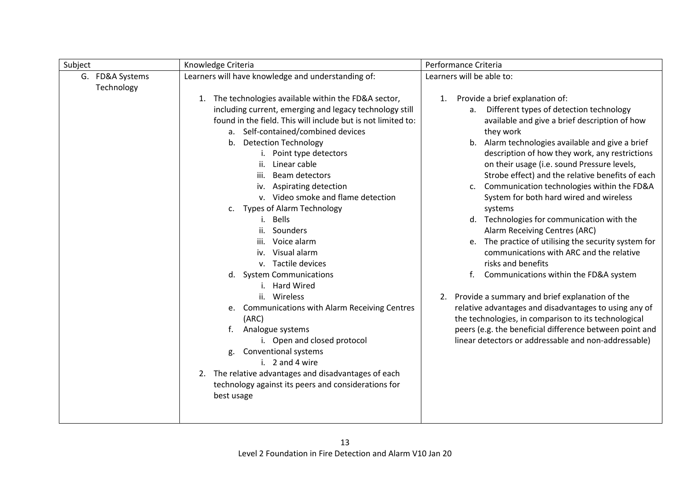| Subject                       | Knowledge Criteria                                                                                                                                                                                                                                                                                                                                                                                                                                                                                                                                                                                                                                                                                                                                                                                                                                                                                            | Performance Criteria                                                                                                                                                                                                                                                                                                                                                                                                                                                                                                                                                                                                                                                                                                                                                                                                                                                                                                                                                                                                                    |
|-------------------------------|---------------------------------------------------------------------------------------------------------------------------------------------------------------------------------------------------------------------------------------------------------------------------------------------------------------------------------------------------------------------------------------------------------------------------------------------------------------------------------------------------------------------------------------------------------------------------------------------------------------------------------------------------------------------------------------------------------------------------------------------------------------------------------------------------------------------------------------------------------------------------------------------------------------|-----------------------------------------------------------------------------------------------------------------------------------------------------------------------------------------------------------------------------------------------------------------------------------------------------------------------------------------------------------------------------------------------------------------------------------------------------------------------------------------------------------------------------------------------------------------------------------------------------------------------------------------------------------------------------------------------------------------------------------------------------------------------------------------------------------------------------------------------------------------------------------------------------------------------------------------------------------------------------------------------------------------------------------------|
| G. FD&A Systems<br>Technology | Learners will have knowledge and understanding of:                                                                                                                                                                                                                                                                                                                                                                                                                                                                                                                                                                                                                                                                                                                                                                                                                                                            | Learners will be able to:                                                                                                                                                                                                                                                                                                                                                                                                                                                                                                                                                                                                                                                                                                                                                                                                                                                                                                                                                                                                               |
|                               | 1. The technologies available within the FD&A sector,<br>including current, emerging and legacy technology still<br>found in the field. This will include but is not limited to:<br>a. Self-contained/combined devices<br>b. Detection Technology<br>Point type detectors<br>i.<br>Linear cable<br>ii.<br>Beam detectors<br>iii.<br>iv. Aspirating detection<br>v. Video smoke and flame detection<br>c. Types of Alarm Technology<br>i. Bells<br>ii.<br>Sounders<br>Voice alarm<br>iii.<br>iv. Visual alarm<br>v. Tactile devices<br>d. System Communications<br>i. Hard Wired<br>ii. Wireless<br>e. Communications with Alarm Receiving Centres<br>(ARC)<br>f.<br>Analogue systems<br>i. Open and closed protocol<br><b>Conventional systems</b><br>g.<br>i. $2$ and 4 wire<br>The relative advantages and disadvantages of each<br>2.<br>technology against its peers and considerations for<br>best usage | Provide a brief explanation of:<br>1.<br>Different types of detection technology<br>a.<br>available and give a brief description of how<br>they work<br>b. Alarm technologies available and give a brief<br>description of how they work, any restrictions<br>on their usage (i.e. sound Pressure levels,<br>Strobe effect) and the relative benefits of each<br>Communication technologies within the FD&A<br>$\mathsf{C}$ .<br>System for both hard wired and wireless<br>systems<br>d. Technologies for communication with the<br>Alarm Receiving Centres (ARC)<br>The practice of utilising the security system for<br>e.<br>communications with ARC and the relative<br>risks and benefits<br>Communications within the FD&A system<br>f.<br>2. Provide a summary and brief explanation of the<br>relative advantages and disadvantages to using any of<br>the technologies, in comparison to its technological<br>peers (e.g. the beneficial difference between point and<br>linear detectors or addressable and non-addressable) |
|                               |                                                                                                                                                                                                                                                                                                                                                                                                                                                                                                                                                                                                                                                                                                                                                                                                                                                                                                               |                                                                                                                                                                                                                                                                                                                                                                                                                                                                                                                                                                                                                                                                                                                                                                                                                                                                                                                                                                                                                                         |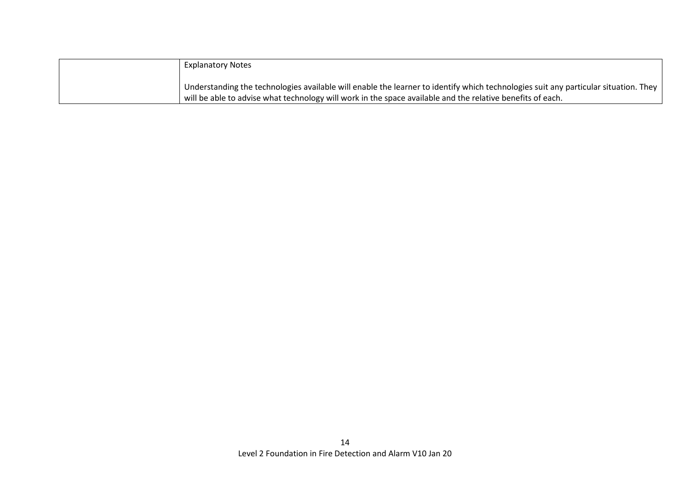| <b>Explanatory Notes</b>                                                                                                                    |
|---------------------------------------------------------------------------------------------------------------------------------------------|
|                                                                                                                                             |
| Understanding the technologies available will enable the learner to identify which technologies suit any particular situation. They $\vert$ |
| will be able to advise what technology will work in the space available and the relative benefits of each.                                  |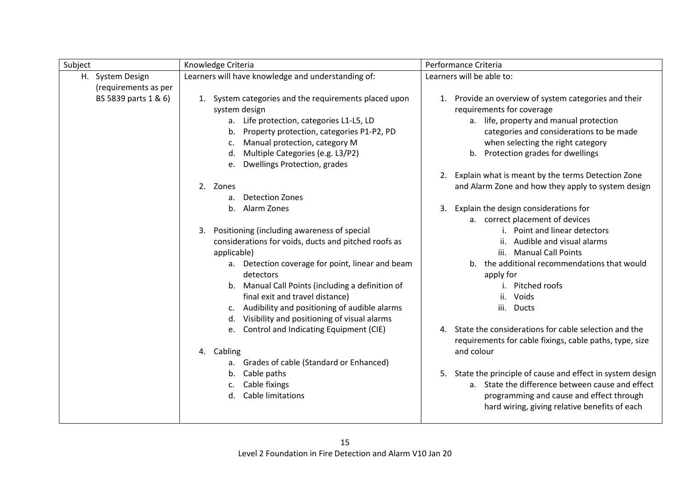| Subject              | Knowledge Criteria                                             | Performance Criteria                                                  |
|----------------------|----------------------------------------------------------------|-----------------------------------------------------------------------|
| H. System Design     | Learners will have knowledge and understanding of:             | Learners will be able to:                                             |
| (requirements as per |                                                                |                                                                       |
| BS 5839 parts 1 & 6) | 1. System categories and the requirements placed upon          | 1. Provide an overview of system categories and their                 |
|                      | system design                                                  | requirements for coverage                                             |
|                      | a. Life protection, categories L1-L5, LD                       | a. life, property and manual protection                               |
|                      | b. Property protection, categories P1-P2, PD                   | categories and considerations to be made                              |
|                      | Manual protection, category M                                  | when selecting the right category                                     |
|                      | Multiple Categories (e.g. L3/P2)<br>d.                         | b. Protection grades for dwellings                                    |
|                      | Dwellings Protection, grades<br>e.                             |                                                                       |
|                      |                                                                | 2. Explain what is meant by the terms Detection Zone                  |
|                      | 2. Zones                                                       | and Alarm Zone and how they apply to system design                    |
|                      | <b>Detection Zones</b><br>a.                                   |                                                                       |
|                      | b.<br>Alarm Zones                                              | Explain the design considerations for<br>3.                           |
|                      |                                                                | a. correct placement of devices                                       |
|                      | Positioning (including awareness of special<br>3.              | i. Point and linear detectors                                         |
|                      | considerations for voids, ducts and pitched roofs as           | ii. Audible and visual alarms                                         |
|                      | applicable)                                                    | iii. Manual Call Points                                               |
|                      | a. Detection coverage for point, linear and beam               | b. the additional recommendations that would                          |
|                      | detectors                                                      | apply for                                                             |
|                      | b. Manual Call Points (including a definition of               | Pitched roofs<br>$\mathbf{L}$                                         |
|                      | final exit and travel distance)                                | Voids<br>ii.                                                          |
|                      | c. Audibility and positioning of audible alarms                | iii. Ducts                                                            |
|                      | d. Visibility and positioning of visual alarms                 | 4. State the considerations for cable selection and the               |
|                      | e. Control and Indicating Equipment (CIE)                      |                                                                       |
|                      |                                                                | requirements for cable fixings, cable paths, type, size<br>and colour |
|                      | 4. Cabling                                                     |                                                                       |
|                      | a. Grades of cable (Standard or Enhanced)<br>Cable paths<br>b. | 5. State the principle of cause and effect in system design           |
|                      | Cable fixings<br>c.                                            | a. State the difference between cause and effect                      |
|                      | Cable limitations<br>d.                                        | programming and cause and effect through                              |
|                      |                                                                | hard wiring, giving relative benefits of each                         |
|                      |                                                                |                                                                       |
|                      |                                                                |                                                                       |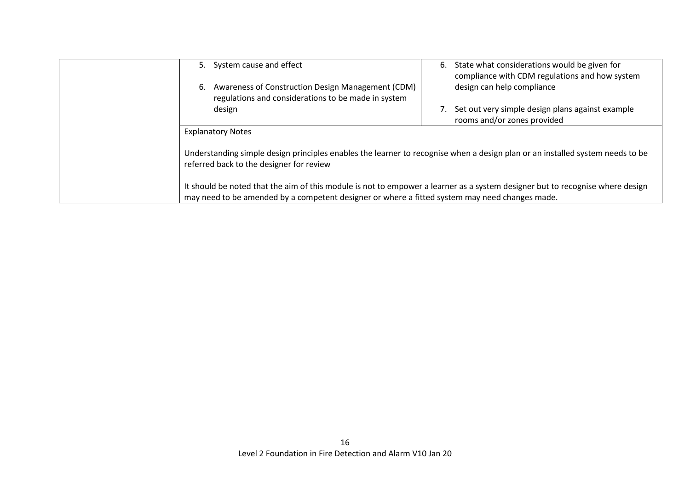| 5. System cause and effect                                                                                                                                                                                                      | 6. | State what considerations would be given for<br>compliance with CDM regulations and how system |
|---------------------------------------------------------------------------------------------------------------------------------------------------------------------------------------------------------------------------------|----|------------------------------------------------------------------------------------------------|
| 6. Awareness of Construction Design Management (CDM)<br>regulations and considerations to be made in system                                                                                                                     |    | design can help compliance                                                                     |
| design                                                                                                                                                                                                                          |    | Set out very simple design plans against example<br>rooms and/or zones provided                |
| <b>Explanatory Notes</b>                                                                                                                                                                                                        |    |                                                                                                |
| Understanding simple design principles enables the learner to recognise when a design plan or an installed system needs to be<br>referred back to the designer for review                                                       |    |                                                                                                |
| It should be noted that the aim of this module is not to empower a learner as a system designer but to recognise where design<br>may need to be amended by a competent designer or where a fitted system may need changes made. |    |                                                                                                |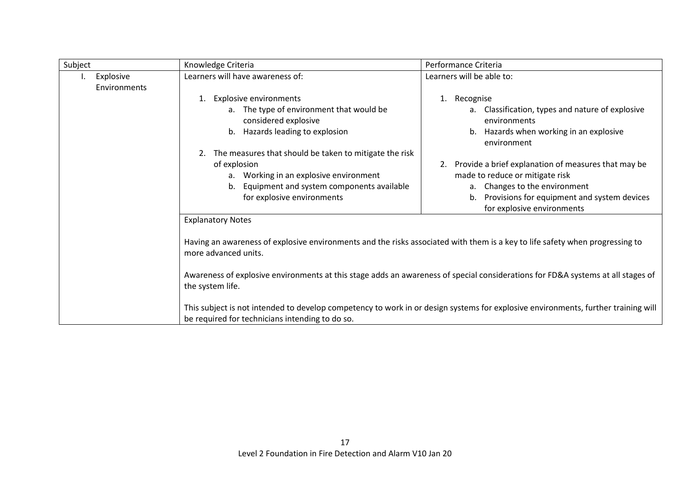| Subject |                           | Knowledge Criteria                                                                                                                                                                                                                                                                                                  | Performance Criteria                                                                                                                                                                                                |  |
|---------|---------------------------|---------------------------------------------------------------------------------------------------------------------------------------------------------------------------------------------------------------------------------------------------------------------------------------------------------------------|---------------------------------------------------------------------------------------------------------------------------------------------------------------------------------------------------------------------|--|
|         | Explosive<br>Environments | Learners will have awareness of:                                                                                                                                                                                                                                                                                    | Learners will be able to:                                                                                                                                                                                           |  |
|         |                           | <b>Explosive environments</b><br>1.<br>a. The type of environment that would be<br>considered explosive<br>Hazards leading to explosion<br>b.                                                                                                                                                                       | Recognise<br>1.<br>Classification, types and nature of explosive<br>a.<br>environments<br>Hazards when working in an explosive<br>b.<br>environment                                                                 |  |
|         |                           | The measures that should be taken to mitigate the risk<br>of explosion<br>a. Working in an explosive environment<br>b. Equipment and system components available<br>for explosive environments                                                                                                                      | Provide a brief explanation of measures that may be<br>2.<br>made to reduce or mitigate risk<br>Changes to the environment<br>а.<br>Provisions for equipment and system devices<br>b.<br>for explosive environments |  |
|         |                           | <b>Explanatory Notes</b><br>Having an awareness of explosive environments and the risks associated with them is a key to life safety when progressing to<br>more advanced units.<br>Awareness of explosive environments at this stage adds an awareness of special considerations for FD&A systems at all stages of |                                                                                                                                                                                                                     |  |
|         |                           | the system life.<br>be required for technicians intending to do so.                                                                                                                                                                                                                                                 | This subject is not intended to develop competency to work in or design systems for explosive environments, further training will                                                                                   |  |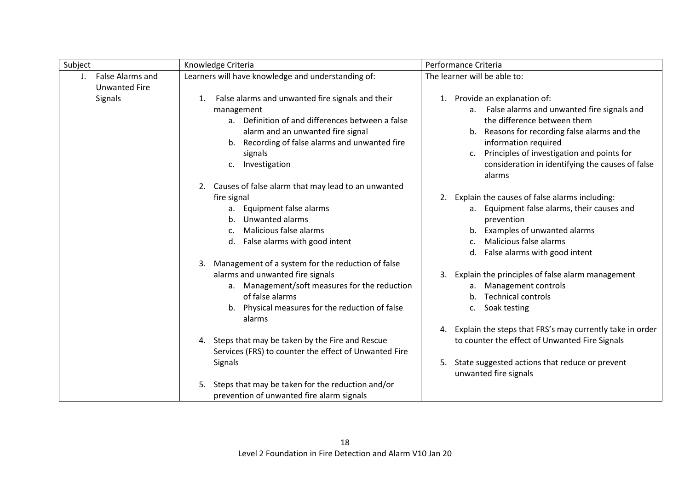| Subject                                                    | Knowledge Criteria                                                                                                                                                                                                                                                                                               | Performance Criteria                                                                                                                                                                                                                                                                                           |
|------------------------------------------------------------|------------------------------------------------------------------------------------------------------------------------------------------------------------------------------------------------------------------------------------------------------------------------------------------------------------------|----------------------------------------------------------------------------------------------------------------------------------------------------------------------------------------------------------------------------------------------------------------------------------------------------------------|
| False Alarms and<br>$\mathbf{J}$ .<br><b>Unwanted Fire</b> | Learners will have knowledge and understanding of:                                                                                                                                                                                                                                                               | The learner will be able to:                                                                                                                                                                                                                                                                                   |
| Signals                                                    | False alarms and unwanted fire signals and their<br>1.<br>management<br>a. Definition of and differences between a false<br>alarm and an unwanted fire signal<br>Recording of false alarms and unwanted fire<br>b.<br>signals<br>Investigation<br>C.<br>Causes of false alarm that may lead to an unwanted<br>2. | 1. Provide an explanation of:<br>False alarms and unwanted fire signals and<br>а.<br>the difference between them<br>Reasons for recording false alarms and the<br>b.<br>information required<br>Principles of investigation and points for<br>c.<br>consideration in identifying the causes of false<br>alarms |
|                                                            | fire signal<br>Equipment false alarms<br>а.<br>Unwanted alarms<br>Malicious false alarms<br>C.<br>d. False alarms with good intent                                                                                                                                                                               | 2. Explain the causes of false alarms including:<br>a. Equipment false alarms, their causes and<br>prevention<br>Examples of unwanted alarms<br>Malicious false alarms<br>False alarms with good intent                                                                                                        |
|                                                            | Management of a system for the reduction of false<br>3.<br>alarms and unwanted fire signals<br>a. Management/soft measures for the reduction<br>of false alarms<br>b. Physical measures for the reduction of false<br>alarms                                                                                     | Explain the principles of false alarm management<br>3.<br>Management controls<br>a.<br><b>Technical controls</b><br>b.<br>Soak testing<br>c.                                                                                                                                                                   |
|                                                            | 4. Steps that may be taken by the Fire and Rescue<br>Services (FRS) to counter the effect of Unwanted Fire<br>Signals                                                                                                                                                                                            | 4. Explain the steps that FRS's may currently take in order<br>to counter the effect of Unwanted Fire Signals<br>State suggested actions that reduce or prevent<br>5.<br>unwanted fire signals                                                                                                                 |
|                                                            | Steps that may be taken for the reduction and/or<br>5.<br>prevention of unwanted fire alarm signals                                                                                                                                                                                                              |                                                                                                                                                                                                                                                                                                                |